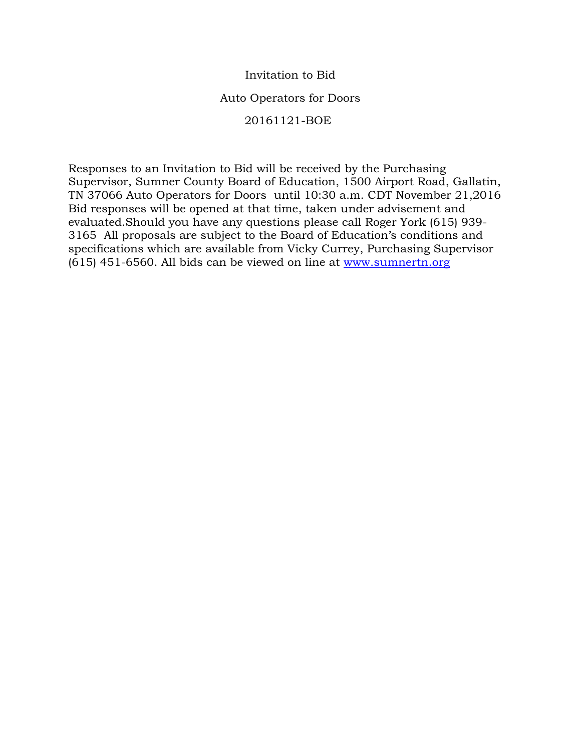### Invitation to Bid

#### Auto Operators for Doors

#### 20161121-BOE

Responses to an Invitation to Bid will be received by the Purchasing Supervisor, Sumner County Board of Education, 1500 Airport Road, Gallatin, TN 37066 Auto Operators for Doors until 10:30 a.m. CDT November 21,2016 Bid responses will be opened at that time, taken under advisement and evaluated.Should you have any questions please call Roger York (615) 939- 3165 All proposals are subject to the Board of Education's conditions and specifications which are available from Vicky Currey, Purchasing Supervisor (615) 451-6560. All bids can be viewed on line at [www.sumnertn.org](http://www.sumnertn.org/)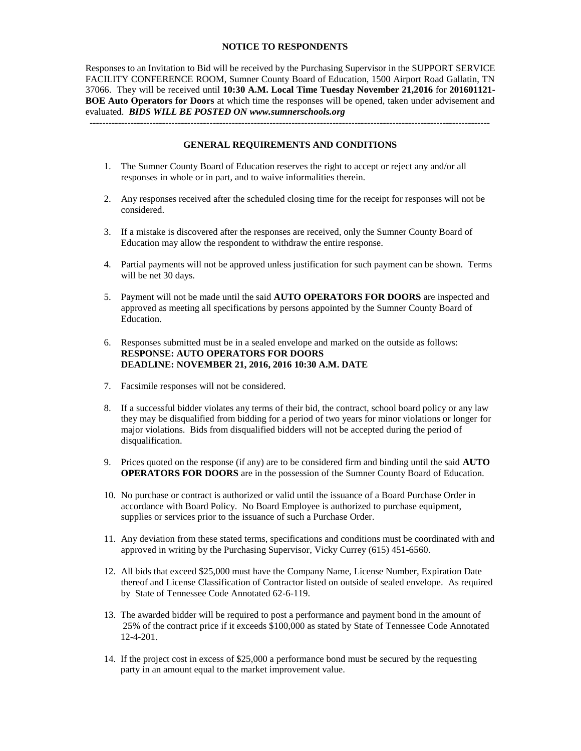#### **NOTICE TO RESPONDENTS**

Responses to an Invitation to Bid will be received by the Purchasing Supervisor in the SUPPORT SERVICE FACILITY CONFERENCE ROOM, Sumner County Board of Education, 1500 Airport Road Gallatin, TN 37066. They will be received until **10:30 A.M. Local Time Tuesday November 21,2016** for **201601121- BOE Auto Operators for Doors** at which time the responses will be opened, taken under advisement and evaluated. *BIDS WILL BE POSTED ON www.sumnerschools.org*

**GENERAL REQUIREMENTS AND CONDITIONS**

-------------------------------------------------------------------------------------------------------------------------------

- 1. The Sumner County Board of Education reserves the right to accept or reject any and/or all responses in whole or in part, and to waive informalities therein.
- 2. Any responses received after the scheduled closing time for the receipt for responses will not be considered.
- 3. If a mistake is discovered after the responses are received, only the Sumner County Board of Education may allow the respondent to withdraw the entire response.
- 4. Partial payments will not be approved unless justification for such payment can be shown. Terms will be net 30 days.
- 5. Payment will not be made until the said **AUTO OPERATORS FOR DOORS** are inspected and approved as meeting all specifications by persons appointed by the Sumner County Board of Education.
- 6. Responses submitted must be in a sealed envelope and marked on the outside as follows: **RESPONSE: AUTO OPERATORS FOR DOORS DEADLINE: NOVEMBER 21, 2016, 2016 10:30 A.M. DATE**
- 7. Facsimile responses will not be considered.
- 8. If a successful bidder violates any terms of their bid, the contract, school board policy or any law they may be disqualified from bidding for a period of two years for minor violations or longer for major violations. Bids from disqualified bidders will not be accepted during the period of disqualification.
- 9. Prices quoted on the response (if any) are to be considered firm and binding until the said **AUTO OPERATORS FOR DOORS** are in the possession of the Sumner County Board of Education.
- 10. No purchase or contract is authorized or valid until the issuance of a Board Purchase Order in accordance with Board Policy. No Board Employee is authorized to purchase equipment, supplies or services prior to the issuance of such a Purchase Order.
- 11. Any deviation from these stated terms, specifications and conditions must be coordinated with and approved in writing by the Purchasing Supervisor, Vicky Currey (615) 451-6560.
- 12. All bids that exceed \$25,000 must have the Company Name, License Number, Expiration Date thereof and License Classification of Contractor listed on outside of sealed envelope. As required by State of Tennessee Code Annotated 62-6-119.
- 13. The awarded bidder will be required to post a performance and payment bond in the amount of 25% of the contract price if it exceeds \$100,000 as stated by State of Tennessee Code Annotated 12-4-201.
- 14. If the project cost in excess of \$25,000 a performance bond must be secured by the requesting party in an amount equal to the market improvement value.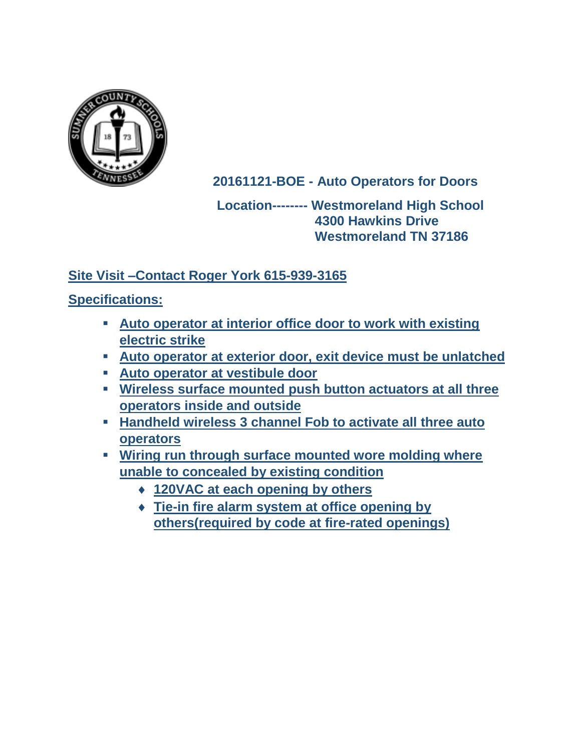

**20161121-BOE - Auto Operators for Doors**

# **Location-------- Westmoreland High School 4300 Hawkins Drive Westmoreland TN 37186**

# **Site Visit –Contact Roger York 615-939-3165**

# **Specifications:**

- **Auto operator at interior office door to work with existing electric strike**
- **Auto operator at exterior door, exit device must be unlatched**
- **Auto operator at vestibule door**
- **Wireless surface mounted push button actuators at all three operators inside and outside**
- **Handheld wireless 3 channel Fob to activate all three auto operators**
- **Wiring run through surface mounted wore molding where unable to concealed by existing condition** 
	- **120VAC at each opening by others**
	- **Tie-in fire alarm system at office opening by others(required by code at fire-rated openings)**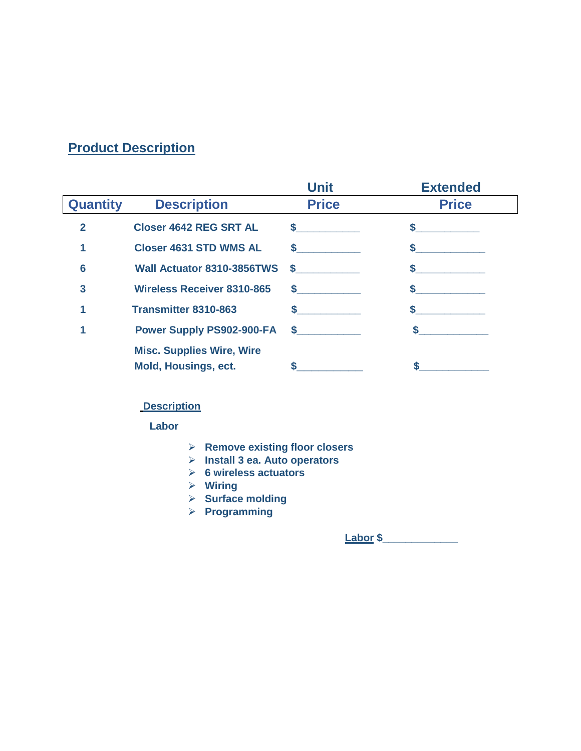# **Product Description**

|                 |                                                                 | <b>Unit</b>   | <b>Extended</b> |
|-----------------|-----------------------------------------------------------------|---------------|-----------------|
| <b>Quantity</b> | <b>Description</b>                                              | <b>Price</b>  | <b>Price</b>    |
| $\mathbf{2}$    | <b>Closer 4642 REG SRT AL</b>                                   | $\sim$ $\sim$ |                 |
|                 | <b>Closer 4631 STD WMS AL</b>                                   | $\sim$ $\sim$ |                 |
| 6               | Wall Actuator 8310-3856TWS                                      | $\sim$        |                 |
| 3               | <b>Wireless Receiver 8310-865</b>                               | $\sim$ $\sim$ |                 |
|                 | <b>Transmitter 8310-863</b>                                     |               |                 |
|                 | <b>Power Supply PS902-900-FA</b>                                | $\sim$ $\sim$ |                 |
|                 | <b>Misc. Supplies Wire, Wire</b><br><b>Mold, Housings, ect.</b> |               |                 |

## **Description**

 **Labor**

- **Remove existing floor closers**
- **Install 3 ea. Auto operators**
- **6 wireless actuators**
- **Wiring**
- **Surface molding**
- **Programming**

 **Labor \$\_\_\_\_\_\_\_\_\_\_\_\_\_**